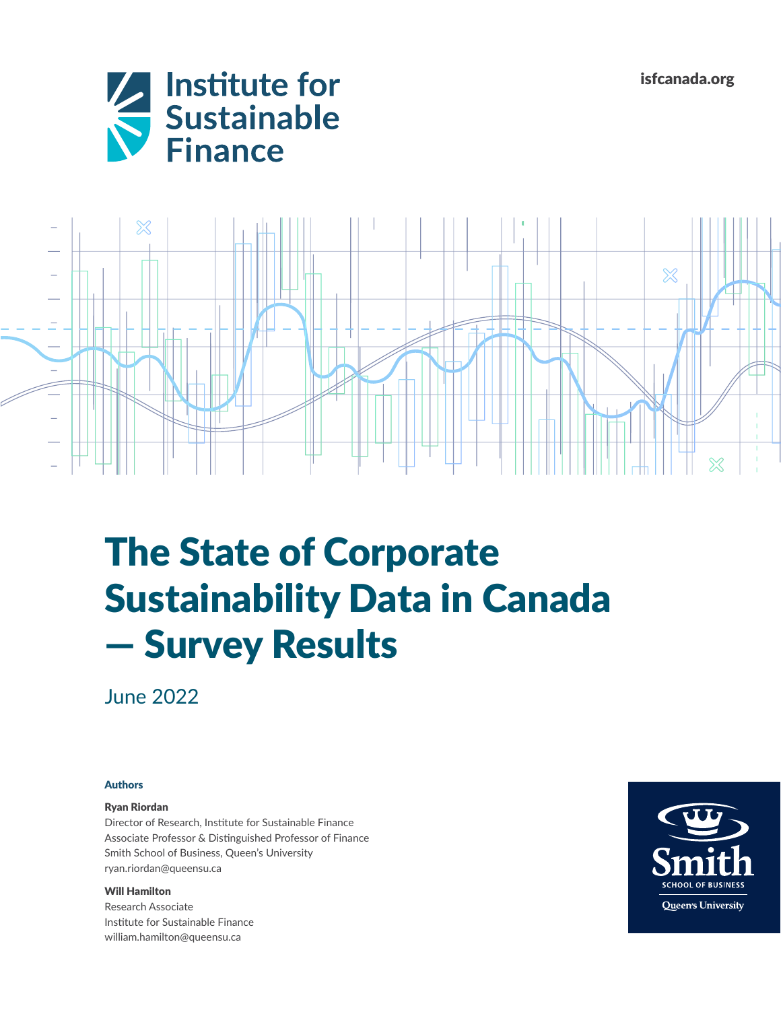isfcanada.org





# The State of Corporate Sustainability Data in Canada — Survey Results

June 2022

## Authors

#### Ryan Riordan

Director of Research, Institute for Sustainable Finance Associate Professor & Distinguished Professor of Finance Smith School of Business, Queen's University [ryan.riordan@queensu.ca](mailto:ryan.riordan%40queensu.ca?subject=)

#### Will Hamilton

Research Associate Institute for Sustainable Finance [william.hamilton@queensu.ca](mailto:william.hamilton%40queensu.ca?subject=)

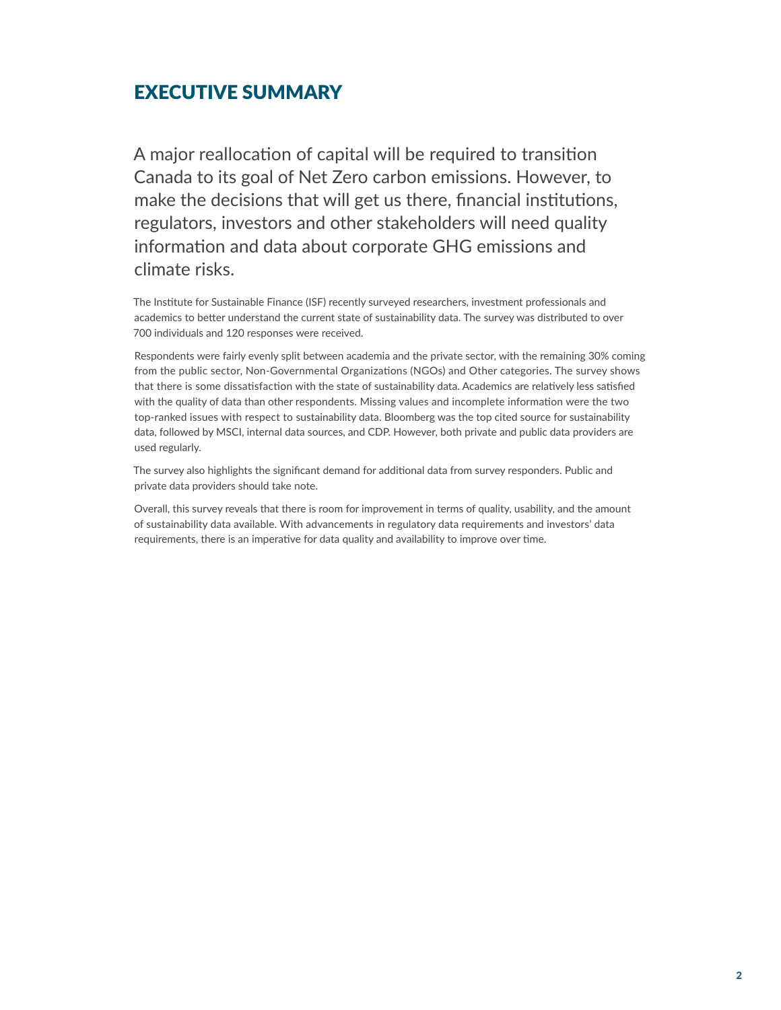# EXECUTIVE SUMMARY

A major reallocation of capital will be required to transition Canada to its goal of Net Zero carbon emissions. However, to make the decisions that will get us there, financial institutions, regulators, investors and other stakeholders will need quality information and data about corporate GHG emissions and climate risks.

The Institute for Sustainable Finance (ISF) recently surveyed researchers, investment professionals and academics to better understand the current state of sustainability data. The survey was distributed to over 700 individuals and 120 responses were received.

Respondents were fairly evenly split between academia and the private sector, with the remaining 30% coming from the public sector, Non-Governmental Organizations (NGOs) and Other categories. The survey shows that there is some dissatisfaction with the state of sustainability data. Academics are relatively less satisfied with the quality of data than other respondents. Missing values and incomplete information were the two top-ranked issues with respect to sustainability data. Bloomberg was the top cited source for sustainability data, followed by MSCI, internal data sources, and CDP. However, both private and public data providers are used regularly.

The survey also highlights the significant demand for additional data from survey responders. Public and private data providers should take note.

Overall, this survey reveals that there is room for improvement in terms of quality, usability, and the amount of sustainability data available. With advancements in regulatory data requirements and investors' data requirements, there is an imperative for data quality and availability to improve over time.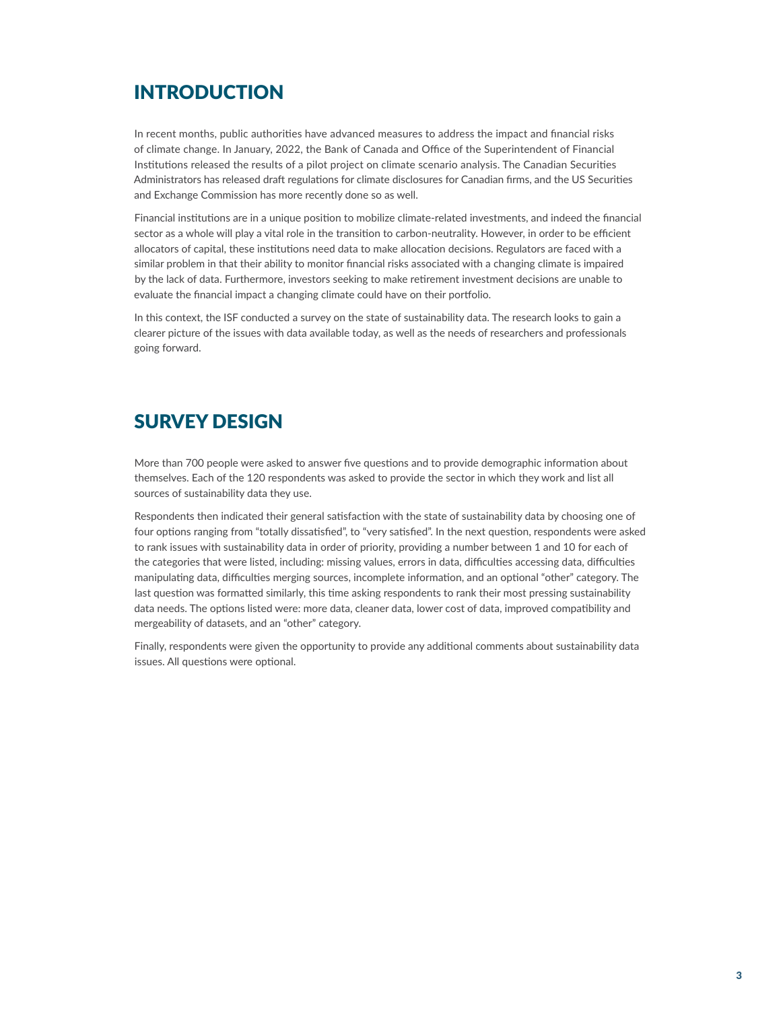# INTRODUCTION

In recent months, public authorities have advanced measures to address the impact and financial risks of climate change. In January, 2022, the Bank of Canada and Office of the Superintendent of Financial Institutions released the results of a pilot project on climate scenario analysis. The Canadian Securities Administrators has released draft regulations for climate disclosures for Canadian firms, and the US Securities and Exchange Commission has more recently done so as well.

Financial institutions are in a unique position to mobilize climate-related investments, and indeed the financial sector as a whole will play a vital role in the transition to carbon-neutrality. However, in order to be efficient allocators of capital, these institutions need data to make allocation decisions. Regulators are faced with a similar problem in that their ability to monitor financial risks associated with a changing climate is impaired by the lack of data. Furthermore, investors seeking to make retirement investment decisions are unable to evaluate the financial impact a changing climate could have on their portfolio.

In this context, the ISF conducted a survey on the state of sustainability data. The research looks to gain a clearer picture of the issues with data available today, as well as the needs of researchers and professionals going forward.

# SURVEY DESIGN

More than 700 people were asked to answer five questions and to provide demographic information about themselves. Each of the 120 respondents was asked to provide the sector in which they work and list all sources of sustainability data they use.

Respondents then indicated their general satisfaction with the state of sustainability data by choosing one of four options ranging from "totally dissatisfied", to "very satisfied". In the next question, respondents were asked to rank issues with sustainability data in order of priority, providing a number between 1 and 10 for each of the categories that were listed, including: missing values, errors in data, difficulties accessing data, difficulties manipulating data, difficulties merging sources, incomplete information, and an optional "other" category. The last question was formatted similarly, this time asking respondents to rank their most pressing sustainability data needs. The options listed were: more data, cleaner data, lower cost of data, improved compatibility and mergeability of datasets, and an "other" category.

Finally, respondents were given the opportunity to provide any additional comments about sustainability data issues. All questions were optional.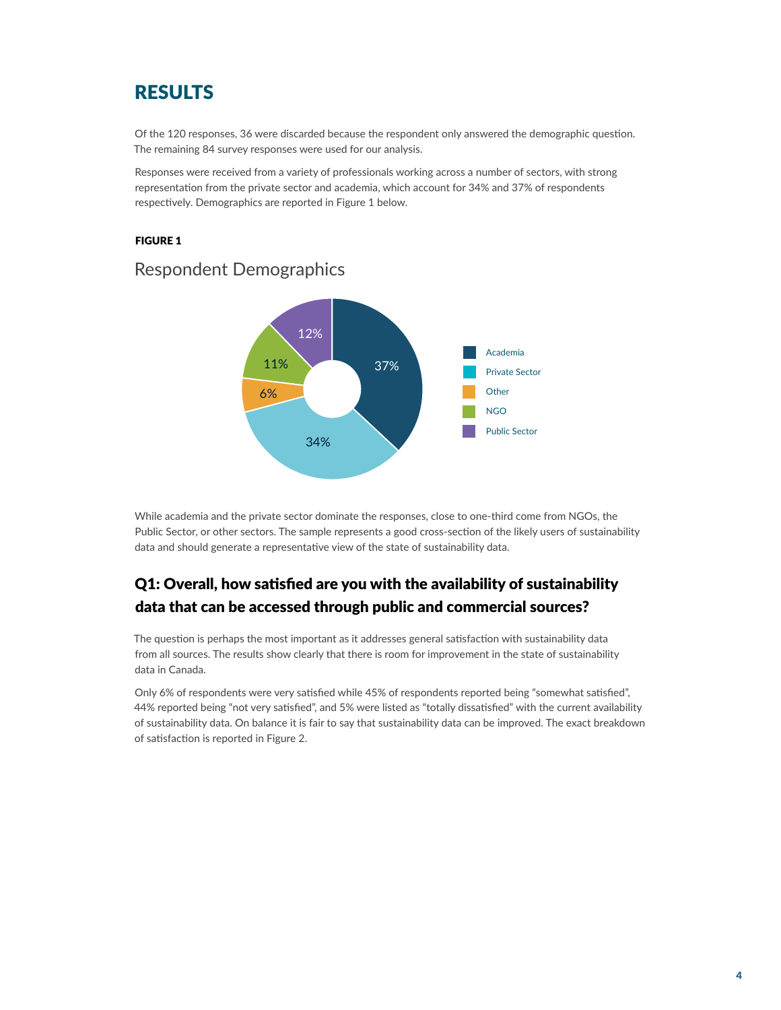# RESULTS

Of the 120 responses, 36 were discarded because the respondent only answered the demographic question. The remaining 84 survey responses were used for our analysis.

Responses were received from a variety of professionals working across a number of sectors, with strong representation from the private sector and academia, which account for 34% and 37% of respondents respectively. Demographics are reported in Figure 1 below.

#### FIGURE 1



## Respondent Demographics

While academia and the private sector dominate the responses, close to one-third come from NGOs, the Public Sector, or other sectors. The sample represents a good cross-section of the likely users of sustainability data and should generate a representative view of the state of sustainability data.

# Q1: Overall, how satisfied are you with the availability of sustainability data that can be accessed through public and commercial sources?

The question is perhaps the most important as it addresses general satisfaction with sustainability data from all sources. The results show clearly that there is room for improvement in the state of sustainability data in Canada.

Only 6% of respondents were very satisfied while 45% of respondents reported being "somewhat satisfied", 44% reported being "not very satisfied", and 5% were listed as "totally dissatisfied" with the current availability of sustainability data. On balance it is fair to say that sustainability data can be improved. The exact breakdown of satisfaction is reported in Figure 2.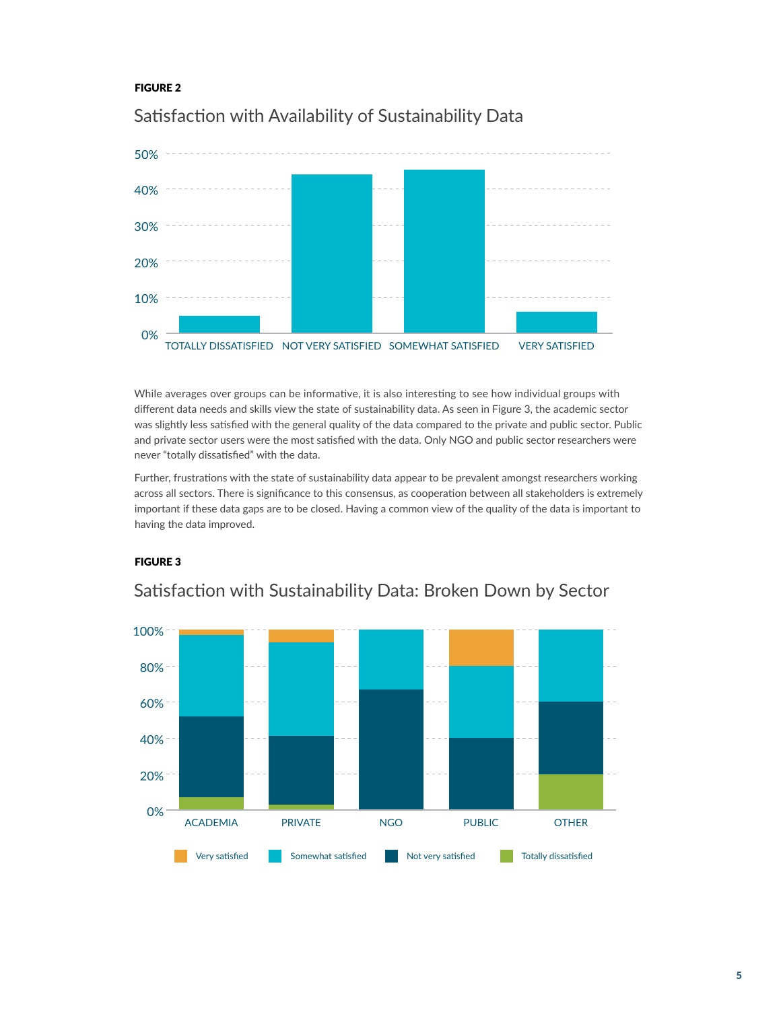#### FIGURE 2



## Satisfaction with Availability of Sustainability Data

While averages over groups can be informative, it is also interesting to see how individual groups with different data needs and skills view the state of sustainability data. As seen in Figure 3, the academic sector was slightly less satisfied with the general quality of the data compared to the private and public sector. Public and private sector users were the most satisfied with the data. Only NGO and public sector researchers were never "totally dissatisfied" with the data.

Further, frustrations with the state of sustainability data appear to be prevalent amongst researchers working across all sectors. There is significance to this consensus, as cooperation between all stakeholders is extremely important if these data gaps are to be closed. Having a common view of the quality of the data is important to having the data improved.

#### FIGURE 3



## Satisfaction with Sustainability Data: Broken Down by Sector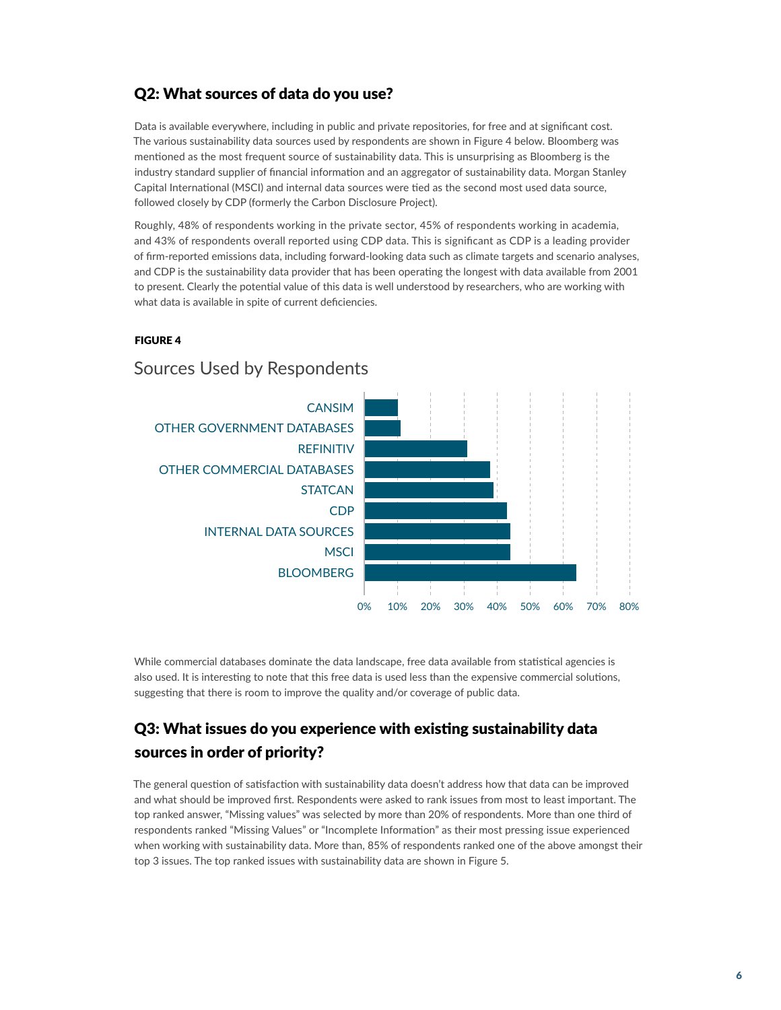## Q2: What sources of data do you use?

Data is available everywhere, including in public and private repositories, for free and at significant cost. The various sustainability data sources used by respondents are shown in Figure 4 below. Bloomberg was mentioned as the most frequent source of sustainability data. This is unsurprising as Bloomberg is the industry standard supplier of financial information and an aggregator of sustainability data. Morgan Stanley Capital International (MSCI) and internal data sources were tied as the second most used data source, followed closely by CDP (formerly the Carbon Disclosure Project).

Roughly, 48% of respondents working in the private sector, 45% of respondents working in academia, and 43% of respondents overall reported using CDP data. This is significant as CDP is a leading provider of firm-reported emissions data, including forward-looking data such as climate targets and scenario analyses, and CDP is the sustainability data provider that has been operating the longest with data available from 2001 to present. Clearly the potential value of this data is well understood by researchers, who are working with what data is available in spite of current deficiencies.

#### FIGURE 4



## Sources Used by Respondents

While commercial databases dominate the data landscape, free data available from statistical agencies is also used. It is interesting to note that this free data is used less than the expensive commercial solutions, suggesting that there is room to improve the quality and/or coverage of public data.

## Q3: What issues do you experience with existing sustainability data sources in order of priority?

The general question of satisfaction with sustainability data doesn't address how that data can be improved and what should be improved first. Respondents were asked to rank issues from most to least important. The top ranked answer, "Missing values" was selected by more than 20% of respondents. More than one third of respondents ranked "Missing Values" or "Incomplete Information" as their most pressing issue experienced when working with sustainability data. More than, 85% of respondents ranked one of the above amongst their top 3 issues. The top ranked issues with sustainability data are shown in Figure 5.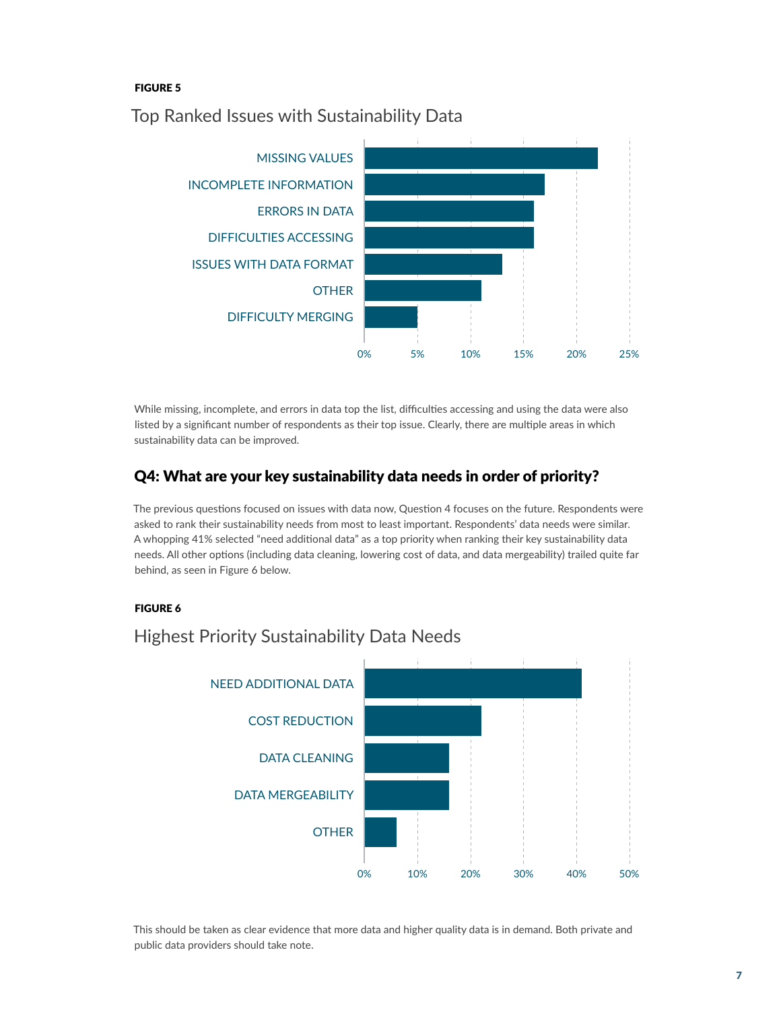## FIGURE 5



Top Ranked Issues with Sustainability Data

While missing, incomplete, and errors in data top the list, difficulties accessing and using the data were also listed by a significant number of respondents as their top issue. Clearly, there are multiple areas in which sustainability data can be improved.

## Q4: What are your key sustainability data needs in order of priority?

The previous questions focused on issues with data now, Question 4 focuses on the future. Respondents were asked to rank their sustainability needs from most to least important. Respondents' data needs were similar. A whopping 41% selected "need additional data" as a top priority when ranking their key sustainability data needs. All other options (including data cleaning, lowering cost of data, and data mergeability) trailed quite far behind, as seen in Figure 6 below.

## FIGURE 6



## Highest Priority Sustainability Data Needs

This should be taken as clear evidence that more data and higher quality data is in demand. Both private and public data providers should take note.